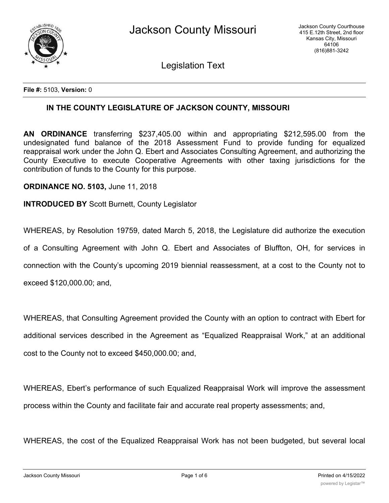

Legislation Text

**File #:** 5103, **Version:** 0

## **IN THE COUNTY LEGISLATURE OF JACKSON COUNTY, MISSOURI**

**AN ORDINANCE** transferring \$237,405.00 within and appropriating \$212,595.00 from the undesignated fund balance of the 2018 Assessment Fund to provide funding for equalized reappraisal work under the John Q. Ebert and Associates Consulting Agreement, and authorizing the County Executive to execute Cooperative Agreements with other taxing jurisdictions for the contribution of funds to the County for this purpose.

**ORDINANCE NO. 5103,** June 11, 2018

**INTRODUCED BY** Scott Burnett, County Legislator

WHEREAS, by Resolution 19759, dated March 5, 2018, the Legislature did authorize the execution

of a Consulting Agreement with John Q. Ebert and Associates of Bluffton, OH, for services in

connection with the County's upcoming 2019 biennial reassessment, at a cost to the County not to

exceed \$120,000.00; and,

WHEREAS, that Consulting Agreement provided the County with an option to contract with Ebert for additional services described in the Agreement as "Equalized Reappraisal Work," at an additional cost to the County not to exceed \$450,000.00; and,

WHEREAS, Ebert's performance of such Equalized Reappraisal Work will improve the assessment process within the County and facilitate fair and accurate real property assessments; and,

WHEREAS, the cost of the Equalized Reappraisal Work has not been budgeted, but several local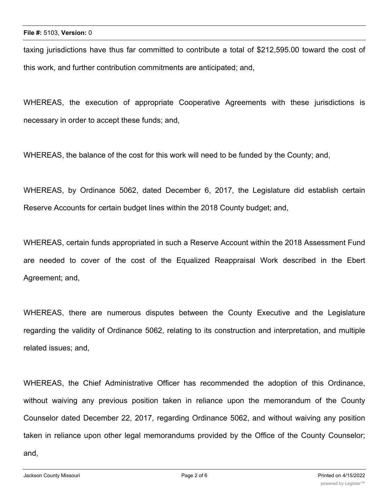taxing jurisdictions have thus far committed to contribute a total of \$212,595.00 toward the cost of this work, and further contribution commitments are anticipated; and,

WHEREAS, the execution of appropriate Cooperative Agreements with these jurisdictions is necessary in order to accept these funds; and,

WHEREAS, the balance of the cost for this work will need to be funded by the County; and,

WHEREAS, by Ordinance 5062, dated December 6, 2017, the Legislature did establish certain Reserve Accounts for certain budget lines within the 2018 County budget; and,

WHEREAS, certain funds appropriated in such a Reserve Account within the 2018 Assessment Fund are needed to cover of the cost of the Equalized Reappraisal Work described in the Ebert Agreement; and,

WHEREAS, there are numerous disputes between the County Executive and the Legislature regarding the validity of Ordinance 5062, relating to its construction and interpretation, and multiple related issues; and,

WHEREAS, the Chief Administrative Officer has recommended the adoption of this Ordinance, without waiving any previous position taken in reliance upon the memorandum of the County Counselor dated December 22, 2017, regarding Ordinance 5062, and without waiving any position taken in reliance upon other legal memorandums provided by the Office of the County Counselor; and,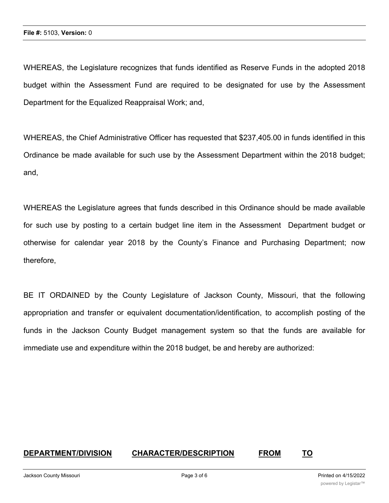WHEREAS, the Legislature recognizes that funds identified as Reserve Funds in the adopted 2018 budget within the Assessment Fund are required to be designated for use by the Assessment Department for the Equalized Reappraisal Work; and,

WHEREAS, the Chief Administrative Officer has requested that \$237,405.00 in funds identified in this Ordinance be made available for such use by the Assessment Department within the 2018 budget; and,

WHEREAS the Legislature agrees that funds described in this Ordinance should be made available for such use by posting to a certain budget line item in the Assessment Department budget or otherwise for calendar year 2018 by the County's Finance and Purchasing Department; now therefore,

BE IT ORDAINED by the County Legislature of Jackson County, Missouri, that the following appropriation and transfer or equivalent documentation/identification, to accomplish posting of the funds in the Jackson County Budget management system so that the funds are available for immediate use and expenditure within the 2018 budget, be and hereby are authorized:

## **DEPARTMENT/DIVISION CHARACTER/DESCRIPTION FROM TO**

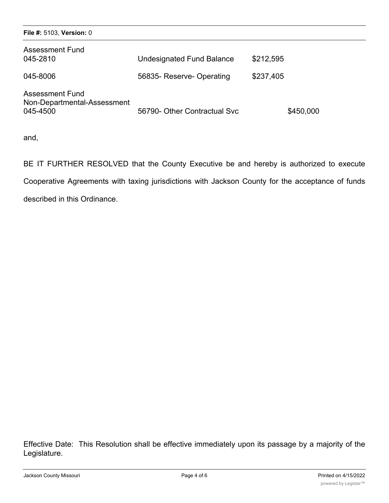| File #: 5103, Version: 0                                          |                                  |           |
|-------------------------------------------------------------------|----------------------------------|-----------|
| <b>Assessment Fund</b><br>045-2810                                | <b>Undesignated Fund Balance</b> | \$212,595 |
| 045-8006                                                          | 56835- Reserve- Operating        | \$237,405 |
| <b>Assessment Fund</b><br>Non-Departmental-Assessment<br>045-4500 | 56790- Other Contractual Svc     | \$450,000 |

and,

BE IT FURTHER RESOLVED that the County Executive be and hereby is authorized to execute Cooperative Agreements with taxing jurisdictions with Jackson County for the acceptance of funds described in this Ordinance.

Effective Date: This Resolution shall be effective immediately upon its passage by a majority of the Legislature.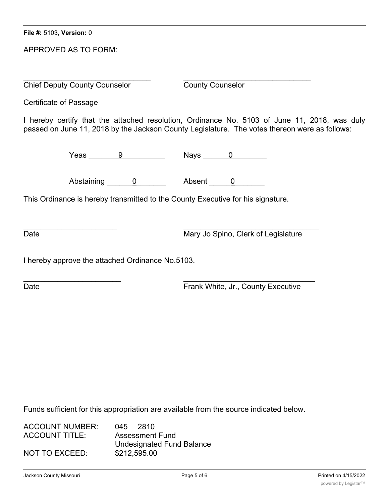APPROVED AS TO FORM:

 $\overline{\phantom{a}}$  , and the contribution of the contribution of the contribution of the contribution of the contribution of the contribution of the contribution of the contribution of the contribution of the contribution of the Chief Deputy County Counselor County Counselor

Certificate of Passage

I hereby certify that the attached resolution, Ordinance No. 5103 of June 11, 2018, was duly passed on June 11, 2018 by the Jackson County Legislature. The votes thereon were as follows:

Yeas <u>9</u> Nays 0

Abstaining 0 betaining 0 Absent 0

 $\overline{\phantom{a}}$  ,  $\overline{\phantom{a}}$  ,  $\overline{\phantom{a}}$  ,  $\overline{\phantom{a}}$  ,  $\overline{\phantom{a}}$  ,  $\overline{\phantom{a}}$  ,  $\overline{\phantom{a}}$  ,  $\overline{\phantom{a}}$  ,  $\overline{\phantom{a}}$  ,  $\overline{\phantom{a}}$  ,  $\overline{\phantom{a}}$  ,  $\overline{\phantom{a}}$  ,  $\overline{\phantom{a}}$  ,  $\overline{\phantom{a}}$  ,  $\overline{\phantom{a}}$  ,  $\overline{\phantom{a}}$ 

This Ordinance is hereby transmitted to the County Executive for his signature.

Date **Date** Mary Jo Spino, Clerk of Legislature

I hereby approve the attached Ordinance No.5103.

 $\mathcal{L}_\text{max}$  , and the contribution of the contribution of the contribution of the contribution of the contribution of the contribution of the contribution of the contribution of the contribution of the contribution of t Date **Date Executive CONS EXECUTE:** Frank White, Jr., County Executive

Funds sufficient for this appropriation are available from the source indicated below.

| ACCOUNT NUMBER: | 045 2810                         |  |
|-----------------|----------------------------------|--|
| ACCOUNT TITLE:  | Assessment Fund                  |  |
|                 | <b>Undesignated Fund Balance</b> |  |
| NOT TO EXCEED:  | \$212,595.00                     |  |